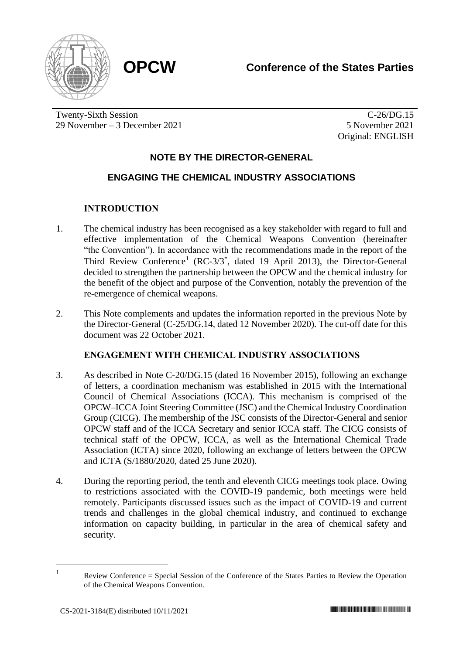



Twenty-Sixth Session 29 November – 3 December 2021

 $\overline{C-26}/\overline{DG}.15$ 5 November 2021 Original: ENGLISH

# **NOTE BY THE DIRECTOR-GENERAL**

# **ENGAGING THE CHEMICAL INDUSTRY ASSOCIATIONS**

## **INTRODUCTION**

- 1. The chemical industry has been recognised as a key stakeholder with regard to full and effective implementation of the Chemical Weapons Convention (hereinafter "the Convention"). In accordance with the recommendations made in the report of the Third Review Conference<sup>1</sup> (RC-3/3<sup>\*</sup>, dated 19 April 2013), the Director-General decided to strengthen the partnership between the OPCW and the chemical industry for the benefit of the object and purpose of the Convention, notably the prevention of the re-emergence of chemical weapons.
- 2. This Note complements and updates the information reported in the previous Note by the Director-General (C-25/DG.14, dated 12 November 2020). The cut-off date for this document was 22 October 2021.

# **ENGAGEMENT WITH CHEMICAL INDUSTRY ASSOCIATIONS**

- 3. As described in Note C-20/DG.15 (dated 16 November 2015), following an exchange of letters, a coordination mechanism was established in 2015 with the International Council of Chemical Associations (ICCA). This mechanism is comprised of the OPCW–ICCA Joint Steering Committee (JSC) and the Chemical Industry Coordination Group (CICG). The membership of the JSC consists of the Director-General and senior OPCW staff and of the ICCA Secretary and senior ICCA staff. The CICG consists of technical staff of the OPCW, ICCA, as well as the International Chemical Trade Association (ICTA) since 2020, following an exchange of letters between the OPCW and ICTA (S/1880/2020, dated 25 June 2020).
- 4. During the reporting period, the tenth and eleventh CICG meetings took place. Owing to restrictions associated with the COVID-19 pandemic, both meetings were held remotely. Participants discussed issues such as the impact of COVID-19 and current trends and challenges in the global chemical industry, and continued to exchange information on capacity building, in particular in the area of chemical safety and security.

<sup>1</sup>

Review Conference = Special Session of the Conference of the States Parties to Review the Operation of the Chemical Weapons Convention.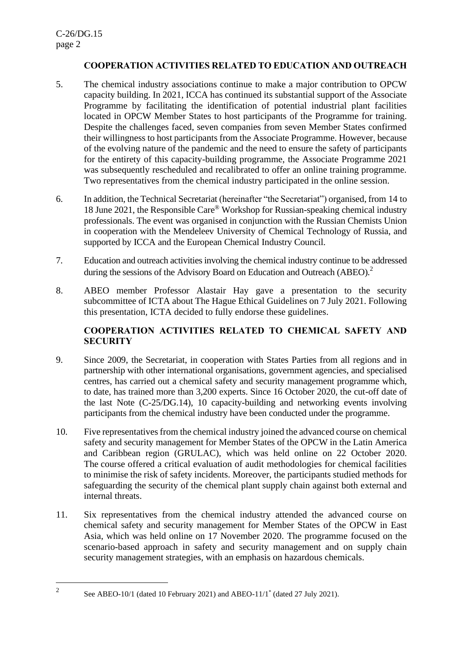## **COOPERATION ACTIVITIES RELATED TO EDUCATION AND OUTREACH**

- 5. The chemical industry associations continue to make a major contribution to OPCW capacity building. In 2021, ICCA has continued its substantial support of the Associate Programme by facilitating the identification of potential industrial plant facilities located in OPCW Member States to host participants of the Programme for training. Despite the challenges faced, seven companies from seven Member States confirmed their willingness to host participants from the Associate Programme. However, because of the evolving nature of the pandemic and the need to ensure the safety of participants for the entirety of this capacity-building programme, the Associate Programme 2021 was subsequently rescheduled and recalibrated to offer an online training programme. Two representatives from the chemical industry participated in the online session.
- 6. In addition, the Technical Secretariat (hereinafter "the Secretariat") organised, from 14 to 18 June 2021, the Responsible Care® Workshop for Russian-speaking chemical industry professionals. The event was organised in conjunction with the Russian Chemists Union in cooperation with the Mendeleev University of Chemical Technology of Russia, and supported by ICCA and the European Chemical Industry Council.
- 7. Education and outreach activities involving the chemical industry continue to be addressed during the sessions of the Advisory Board on Education and Outreach (ABEO).<sup>2</sup>
- 8. ABEO member Professor Alastair Hay gave a presentation to the security subcommittee of ICTA about The Hague Ethical Guidelines on 7 July 2021. Following this presentation, ICTA decided to fully endorse these guidelines.

# **COOPERATION ACTIVITIES RELATED TO CHEMICAL SAFETY AND SECURITY**

- 9. Since 2009, the Secretariat, in cooperation with States Parties from all regions and in partnership with other international organisations, government agencies, and specialised centres, has carried out a chemical safety and security management programme which, to date, has trained more than 3,200 experts. Since 16 October 2020, the cut-off date of the last Note (C-25/DG.14), 10 capacity-building and networking events involving participants from the chemical industry have been conducted under the programme.
- 10. Five representatives from the chemical industry joined the advanced course on chemical safety and security management for Member States of the OPCW in the Latin America and Caribbean region (GRULAC), which was held online on 22 October 2020. The course offered a critical evaluation of audit methodologies for chemical facilities to minimise the risk of safety incidents. Moreover, the participants studied methods for safeguarding the security of the chemical plant supply chain against both external and internal threats.
- 11. Six representatives from the chemical industry attended the advanced course on chemical safety and security management for Member States of the OPCW in East Asia, which was held online on 17 November 2020. The programme focused on the scenario-based approach in safety and security management and on supply chain security management strategies, with an emphasis on hazardous chemicals.

See ABEO-10/1 (dated 10 February 2021) and ABEO-11/1\* (dated 27 July 2021).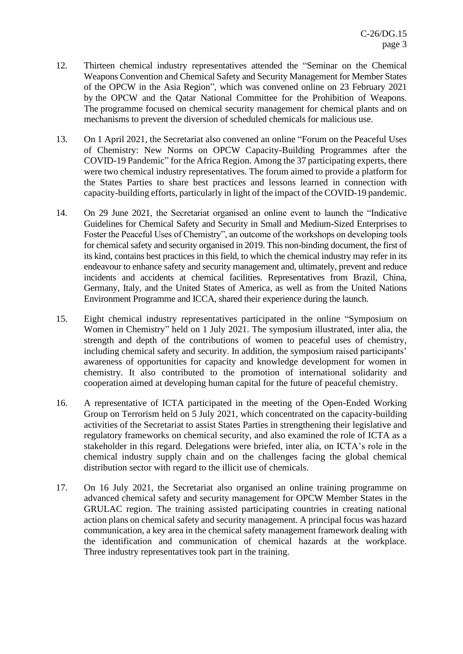- 12. Thirteen chemical industry representatives attended the "Seminar on the Chemical Weapons Convention and Chemical Safety and Security Management for Member States of the OPCW in the Asia Region", which was convened online on 23 February 2021 by the OPCW and the Qatar National Committee for the Prohibition of Weapons. The programme focused on chemical security management for chemical plants and on mechanisms to prevent the diversion of scheduled chemicals for malicious use.
- 13. On 1 April 2021, the Secretariat also convened an online "Forum on the Peaceful Uses of Chemistry: New Norms on OPCW Capacity-Building Programmes after the COVID-19 Pandemic" for the Africa Region. Among the 37 participating experts, there were two chemical industry representatives. The forum aimed to provide a platform for the States Parties to share best practices and lessons learned in connection with capacity-building efforts, particularly in light of the impact of the COVID-19 pandemic.
- 14. On 29 June 2021, the Secretariat organised an online event to launch the "Indicative Guidelines for Chemical Safety and Security in Small and Medium-Sized Enterprises to Foster the Peaceful Uses of Chemistry", an outcome of the workshops on developing tools for chemical safety and security organised in 2019. This non-binding document, the first of its kind, contains best practices in this field, to which the chemical industry may refer in its endeavour to enhance safety and security management and, ultimately, prevent and reduce incidents and accidents at chemical facilities. Representatives from Brazil, China, Germany, Italy, and the United States of America, as well as from the United Nations Environment Programme and ICCA, shared their experience during the launch.
- 15. Eight chemical industry representatives participated in the online "Symposium on Women in Chemistry" held on 1 July 2021. The symposium illustrated, inter alia, the strength and depth of the contributions of women to peaceful uses of chemistry, including chemical safety and security. In addition, the symposium raised participants' awareness of opportunities for capacity and knowledge development for women in chemistry. It also contributed to the promotion of international solidarity and cooperation aimed at developing human capital for the future of peaceful chemistry.
- 16. A representative of ICTA participated in the meeting of the Open-Ended Working Group on Terrorism held on 5 July 2021, which concentrated on the capacity-building activities of the Secretariat to assist States Parties in strengthening their legislative and regulatory frameworks on chemical security, and also examined the role of ICTA as a stakeholder in this regard. Delegations were briefed, inter alia, on ICTA's role in the chemical industry supply chain and on the challenges facing the global chemical distribution sector with regard to the illicit use of chemicals.
- 17. On 16 July 2021, the Secretariat also organised an online training programme on advanced chemical safety and security management for OPCW Member States in the GRULAC region. The training assisted participating countries in creating national action plans on chemical safety and security management. A principal focus was hazard communication, a key area in the chemical safety management framework dealing with the identification and communication of chemical hazards at the workplace. Three industry representatives took part in the training.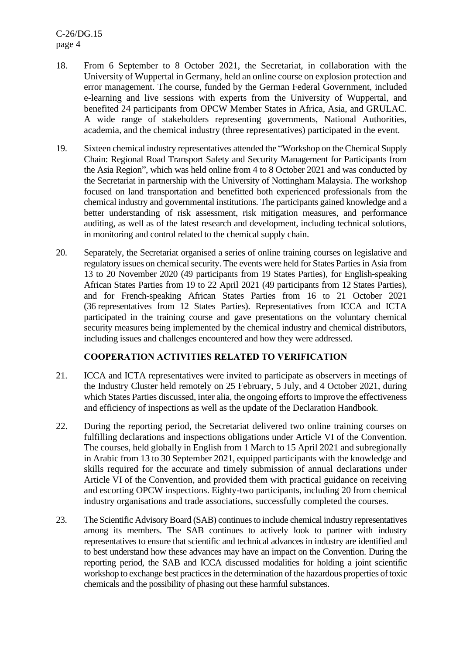C-26/DG.15 page 4

- 18. From 6 September to 8 October 2021, the Secretariat, in collaboration with the University of Wuppertal in Germany, held an online course on explosion protection and error management. The course, funded by the German Federal Government, included e-learning and live sessions with experts from the University of Wuppertal, and benefited 24 participants from OPCW Member States in Africa, Asia, and GRULAC. A wide range of stakeholders representing governments, National Authorities, academia, and the chemical industry (three representatives) participated in the event.
- 19. Sixteen chemical industry representatives attended the "Workshop on the Chemical Supply Chain: Regional Road Transport Safety and Security Management for Participants from the Asia Region", which was held online from 4 to 8 October 2021 and was conducted by the Secretariat in partnership with the University of Nottingham Malaysia. The workshop focused on land transportation and benefitted both experienced professionals from the chemical industry and governmental institutions. The participants gained knowledge and a better understanding of risk assessment, risk mitigation measures, and performance auditing, as well as of the latest research and development, including technical solutions, in monitoring and control related to the chemical supply chain.
- 20. Separately, the Secretariat organised a series of online training courses on legislative and regulatory issues on chemical security. The events were held for States Parties in Asia from 13 to 20 November 2020 (49 participants from 19 States Parties), for English-speaking African States Parties from 19 to 22 April 2021 (49 participants from 12 States Parties), and for French-speaking African States Parties from 16 to 21 October 2021 (36 representatives from 12 States Parties). Representatives from ICCA and ICTA participated in the training course and gave presentations on the voluntary chemical security measures being implemented by the chemical industry and chemical distributors, including issues and challenges encountered and how they were addressed.

## **COOPERATION ACTIVITIES RELATED TO VERIFICATION**

- 21. ICCA and ICTA representatives were invited to participate as observers in meetings of the Industry Cluster held remotely on 25 February, 5 July, and 4 October 2021, during which States Parties discussed, inter alia, the ongoing efforts to improve the effectiveness and efficiency of inspections as well as the update of the Declaration Handbook.
- 22. During the reporting period, the Secretariat delivered two online training courses on fulfilling declarations and inspections obligations under Article VI of the Convention. The courses, held globally in English from 1 March to 15 April 2021 and subregionally in Arabic from 13 to 30 September 2021, equipped participants with the knowledge and skills required for the accurate and timely submission of annual declarations under Article VI of the Convention, and provided them with practical guidance on receiving and escorting OPCW inspections. Eighty-two participants, including 20 from chemical industry organisations and trade associations, successfully completed the courses.
- 23. The Scientific Advisory Board (SAB) continues to include chemical industry representatives among its members. The SAB continues to actively look to partner with industry representatives to ensure that scientific and technical advances in industry are identified and to best understand how these advances may have an impact on the Convention. During the reporting period, the SAB and ICCA discussed modalities for holding a joint scientific workshop to exchange best practices in the determination of the hazardous properties of toxic chemicals and the possibility of phasing out these harmful substances.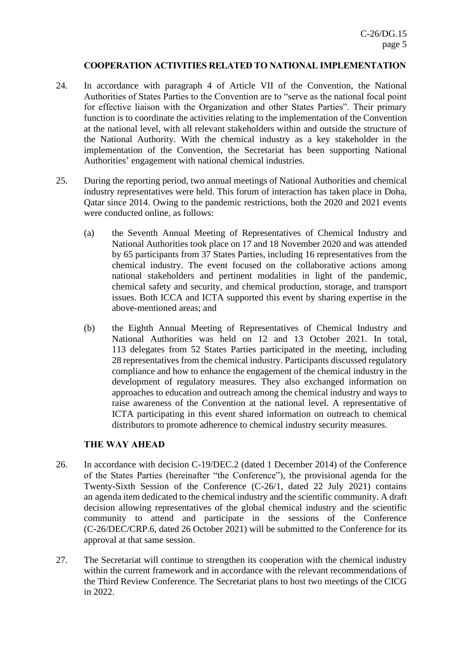## **COOPERATION ACTIVITIES RELATED TO NATIONAL IMPLEMENTATION**

- 24. In accordance with paragraph 4 of Article VII of the Convention, the National Authorities of States Parties to the Convention are to "serve as the national focal point for effective liaison with the Organization and other States Parties". Their primary function is to coordinate the activities relating to the implementation of the Convention at the national level, with all relevant stakeholders within and outside the structure of the National Authority. With the chemical industry as a key stakeholder in the implementation of the Convention, the Secretariat has been supporting National Authorities' engagement with national chemical industries.
- 25. During the reporting period, two annual meetings of National Authorities and chemical industry representatives were held. This forum of interaction has taken place in Doha, Qatar since 2014. Owing to the pandemic restrictions, both the 2020 and 2021 events were conducted online, as follows:
	- (a) the Seventh Annual Meeting of Representatives of Chemical Industry and National Authorities took place on 17 and 18 November 2020 and was attended by 65 participants from 37 States Parties, including 16 representatives from the chemical industry. The event focused on the collaborative actions among national stakeholders and pertinent modalities in light of the pandemic, chemical safety and security, and chemical production, storage, and transport issues. Both ICCA and ICTA supported this event by sharing expertise in the above-mentioned areas; and
	- (b) the Eighth Annual Meeting of Representatives of Chemical Industry and National Authorities was held on 12 and 13 October 2021. In total, 113 delegates from 52 States Parties participated in the meeting, including 28 representatives from the chemical industry. Participants discussed regulatory compliance and how to enhance the engagement of the chemical industry in the development of regulatory measures. They also exchanged information on approaches to education and outreach among the chemical industry and ways to raise awareness of the Convention at the national level. A representative of ICTA participating in this event shared information on outreach to chemical distributors to promote adherence to chemical industry security measures.

## **THE WAY AHEAD**

- 26. In accordance with decision C-19/DEC.2 (dated 1 December 2014) of the Conference of the States Parties (hereinafter "the Conference"), the provisional agenda for the Twenty-Sixth Session of the Conference (C-26/1, dated 22 July 2021) contains an agenda item dedicated to the chemical industry and the scientific community. A draft decision allowing representatives of the global chemical industry and the scientific community to attend and participate in the sessions of the Conference (C-26/DEC/CRP.6, dated 26 October 2021) will be submitted to the Conference for its approval at that same session.
- 27. The Secretariat will continue to strengthen its cooperation with the chemical industry within the current framework and in accordance with the relevant recommendations of the Third Review Conference. The Secretariat plans to host two meetings of the CICG in 2022.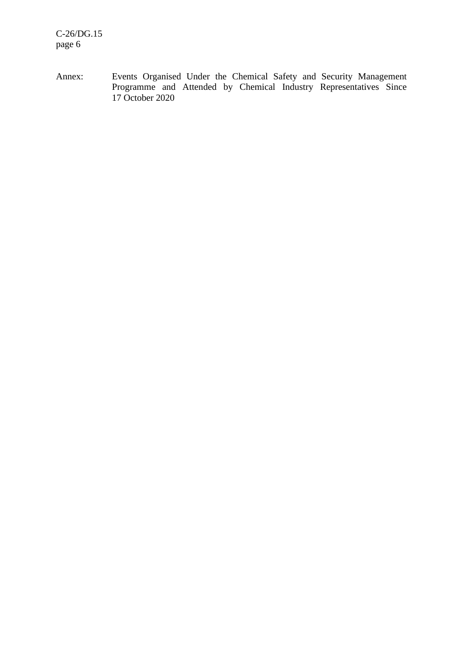Annex: Events Organised Under the Chemical Safety and Security Management Programme and Attended by Chemical Industry Representatives Since 17 October 2020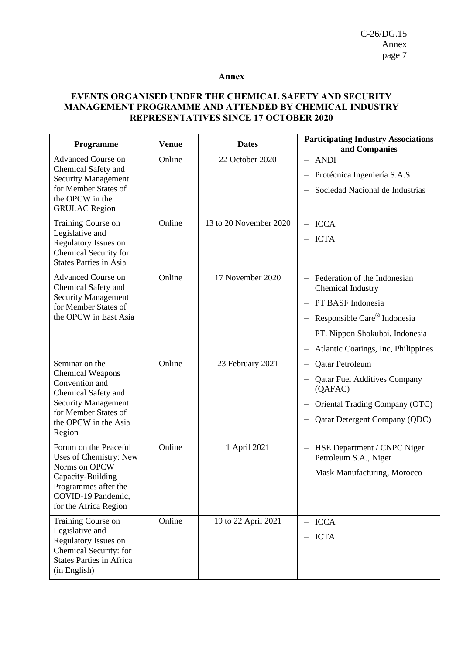#### **Annex**

### **EVENTS ORGANISED UNDER THE CHEMICAL SAFETY AND SECURITY MANAGEMENT PROGRAMME AND ATTENDED BY CHEMICAL INDUSTRY REPRESENTATIVES SINCE 17 OCTOBER 2020**

| Programme                                                                                                                                                                  | <b>Venue</b> | <b>Dates</b>           | <b>Participating Industry Associations</b><br>and Companies                                                                                                                             |
|----------------------------------------------------------------------------------------------------------------------------------------------------------------------------|--------------|------------------------|-----------------------------------------------------------------------------------------------------------------------------------------------------------------------------------------|
| <b>Advanced Course on</b><br>Chemical Safety and<br><b>Security Management</b><br>for Member States of<br>the OPCW in the<br><b>GRULAC</b> Region                          | Online       | 22 October 2020        | - ANDI<br>Protécnica Ingeniería S.A.S<br>Sociedad Nacional de Industrias                                                                                                                |
| Training Course on<br>Legislative and<br>Regulatory Issues on<br>Chemical Security for<br><b>States Parties in Asia</b>                                                    | Online       | 13 to 20 November 2020 | $-$ ICCA<br>$-$ ICTA                                                                                                                                                                    |
| <b>Advanced Course on</b><br>Chemical Safety and<br><b>Security Management</b><br>for Member States of<br>the OPCW in East Asia                                            | Online       | 17 November 2020       | - Federation of the Indonesian<br><b>Chemical Industry</b><br>PT BASF Indonesia<br>Responsible Care® Indonesia<br>PT. Nippon Shokubai, Indonesia<br>Atlantic Coatings, Inc, Philippines |
| Seminar on the<br><b>Chemical Weapons</b><br>Convention and<br>Chemical Safety and<br><b>Security Management</b><br>for Member States of<br>the OPCW in the Asia<br>Region | Online       | 23 February 2021       | <b>Qatar Petroleum</b><br><b>Qatar Fuel Additives Company</b><br>(QAFAC)<br>Oriental Trading Company (OTC)<br><b>Qatar Detergent Company (QDC)</b>                                      |
| Forum on the Peaceful<br>Uses of Chemistry: New<br>Norms on OPCW<br>Capacity-Building<br>Programmes after the<br>COVID-19 Pandemic,<br>for the Africa Region               | Online       | 1 April 2021           | HSE Department / CNPC Niger<br>Petroleum S.A., Niger<br>Mask Manufacturing, Morocco                                                                                                     |
| Training Course on<br>Legislative and<br>Regulatory Issues on<br>Chemical Security: for<br><b>States Parties in Africa</b><br>(in English)                                 | Online       | 19 to 22 April 2021    | $-$ ICCA<br>$-$ ICTA                                                                                                                                                                    |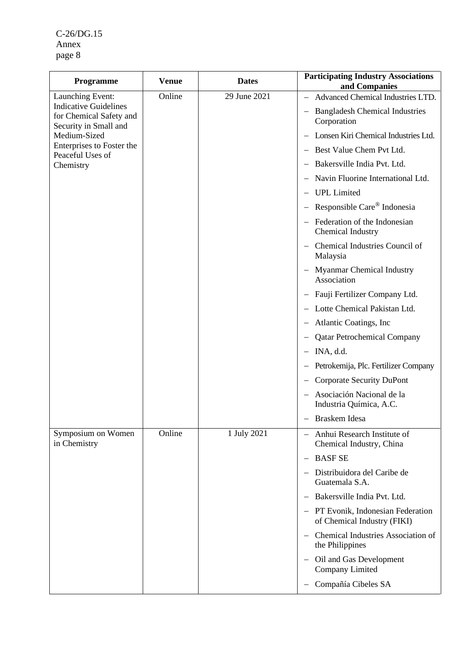C-26/DG.15 Annex page 8

| <b>Programme</b>                                                                 | <b>Venue</b> | <b>Dates</b> | <b>Participating Industry Associations</b><br>and Companies                         |
|----------------------------------------------------------------------------------|--------------|--------------|-------------------------------------------------------------------------------------|
| Launching Event:                                                                 | Online       | 29 June 2021 | Advanced Chemical Industries LTD.                                                   |
| <b>Indicative Guidelines</b><br>for Chemical Safety and<br>Security in Small and |              |              | <b>Bangladesh Chemical Industries</b><br>Corporation                                |
| Medium-Sized                                                                     |              |              | Lonsen Kiri Chemical Industries Ltd.                                                |
| Enterprises to Foster the<br>Peaceful Uses of                                    |              |              | - Best Value Chem Pvt Ltd.                                                          |
| Chemistry                                                                        |              |              | Bakersville India Pvt. Ltd.                                                         |
|                                                                                  |              |              | Navin Fluorine International Ltd.                                                   |
|                                                                                  |              |              | <b>UPL</b> Limited                                                                  |
|                                                                                  |              |              | Responsible Care® Indonesia                                                         |
|                                                                                  |              |              | Federation of the Indonesian<br>Chemical Industry                                   |
|                                                                                  |              |              | Chemical Industries Council of<br>Malaysia                                          |
|                                                                                  |              |              | Myanmar Chemical Industry<br>Association                                            |
|                                                                                  |              |              | Fauji Fertilizer Company Ltd.                                                       |
|                                                                                  |              |              | Lotte Chemical Pakistan Ltd.                                                        |
|                                                                                  |              |              | Atlantic Coatings, Inc.                                                             |
|                                                                                  |              |              | <b>Qatar Petrochemical Company</b>                                                  |
|                                                                                  |              |              | INA, d.d.                                                                           |
|                                                                                  |              |              | Petrokemija, Plc. Fertilizer Company                                                |
|                                                                                  |              |              | <b>Corporate Security DuPont</b>                                                    |
|                                                                                  |              |              | Asociación Nacional de la<br>Industria Química, A.C.                                |
|                                                                                  |              |              | Braskem Idesa                                                                       |
| Symposium on Women<br>in Chemistry                                               | Online       | 1 July 2021  | Anhui Research Institute of<br>$\overline{\phantom{0}}$<br>Chemical Industry, China |
|                                                                                  |              |              | <b>BASFSE</b><br>$\qquad \qquad -$                                                  |
|                                                                                  |              |              | Distribuidora del Caribe de<br>Guatemala S.A.                                       |
|                                                                                  |              |              | Bakersville India Pvt. Ltd.                                                         |
|                                                                                  |              |              | - PT Evonik, Indonesian Federation<br>of Chemical Industry (FIKI)                   |
|                                                                                  |              |              | Chemical Industries Association of<br>the Philippines                               |
|                                                                                  |              |              | Oil and Gas Development<br>Company Limited                                          |
|                                                                                  |              |              | Compañía Cibeles SA                                                                 |